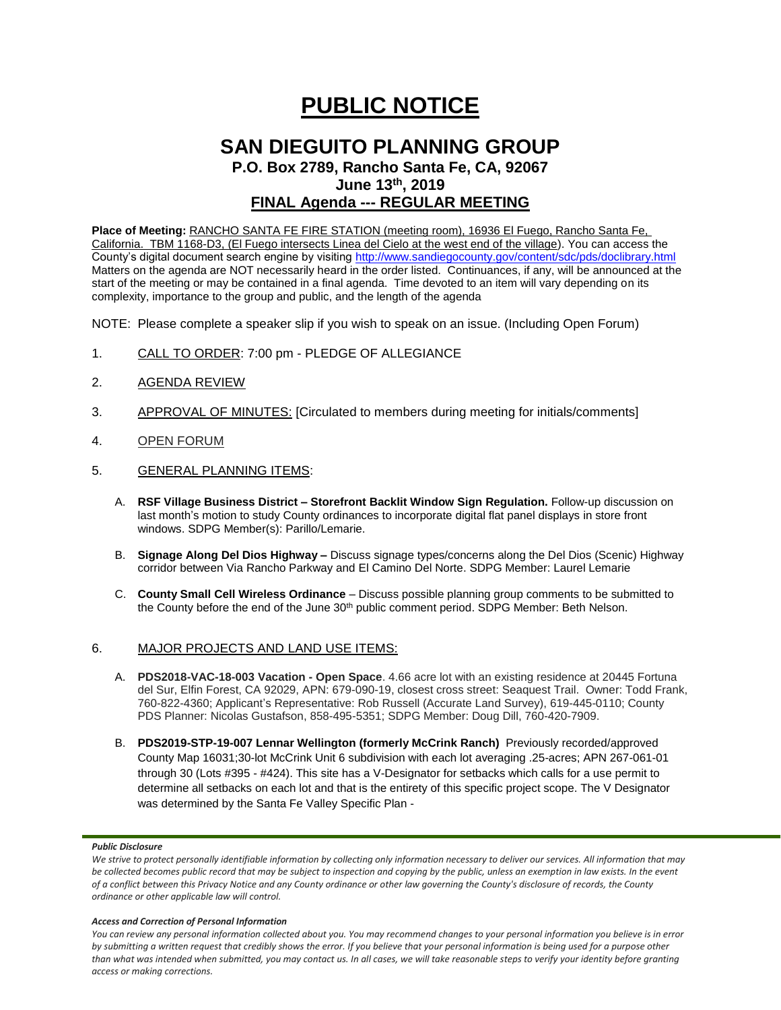# **PUBLIC NOTICE**

# **SAN DIEGUITO PLANNING GROUP**

**P.O. Box 2789, Rancho Santa Fe, CA, 92067 June 13th, 2019**

## **FINAL Agenda --- REGULAR MEETING**

**Place of Meeting:** RANCHO SANTA FE FIRE STATION (meeting room), 16936 El Fuego, Rancho Santa Fe, California. TBM 1168-D3, (El Fuego intersects Linea del Cielo at the west end of the village). You can access the County's digital document search engine by visitin[g http://www.sandiegocounty.gov/content/sdc/pds/doclibrary.html](http://www.sandiegocounty.gov/content/sdc/pds/doclibrary.html) Matters on the agenda are NOT necessarily heard in the order listed. Continuances, if any, will be announced at the start of the meeting or may be contained in a final agenda. Time devoted to an item will vary depending on its complexity, importance to the group and public, and the length of the agenda

NOTE: Please complete a speaker slip if you wish to speak on an issue. (Including Open Forum)

- 1. CALL TO ORDER: 7:00 pm PLEDGE OF ALLEGIANCE
- 2. AGENDA REVIEW
- 3. APPROVAL OF MINUTES: [Circulated to members during meeting for initials/comments]
- 4. OPEN FORUM
- 5. GENERAL PLANNING ITEMS:
	- A. **RSF Village Business District – Storefront Backlit Window Sign Regulation.** Follow-up discussion on last month's motion to study County ordinances to incorporate digital flat panel displays in store front windows. SDPG Member(s): Parillo/Lemarie.
	- B. **Signage Along Del Dios Highway –** Discuss signage types/concerns along the Del Dios (Scenic) Highway corridor between Via Rancho Parkway and El Camino Del Norte. SDPG Member: Laurel Lemarie
	- C. **County Small Cell Wireless Ordinance** Discuss possible planning group comments to be submitted to the County before the end of the June 30<sup>th</sup> public comment period. SDPG Member: Beth Nelson.

### 6. MAJOR PROJECTS AND LAND USE ITEMS:

- A. **PDS2018-VAC-18-003 Vacation - Open Space**. 4.66 acre lot with an existing residence at 20445 Fortuna del Sur, Elfin Forest, CA 92029, APN: 679-090-19, closest cross street: Seaquest Trail. Owner: Todd Frank, 760-822-4360; Applicant's Representative: Rob Russell (Accurate Land Survey), 619-445-0110; County PDS Planner: Nicolas Gustafson, 858-495-5351; SDPG Member: Doug Dill, 760-420-7909.
- B. **PDS2019-STP-19-007 Lennar Wellington (formerly McCrink Ranch)** Previously recorded/approved County Map 16031;30-lot McCrink Unit 6 subdivision with each lot averaging .25-acres; APN 267-061-01 through 30 (Lots #395 - #424). This site has a V-Designator for setbacks which calls for a use permit to determine all setbacks on each lot and that is the entirety of this specific project scope. The V Designator was determined by the Santa Fe Valley Specific Plan -

#### *Public Disclosure*

#### *Access and Correction of Personal Information*

*You can review any personal information collected about you. You may recommend changes to your personal information you believe is in error by submitting a written request that credibly shows the error. If you believe that your personal information is being used for a purpose other than what was intended when submitted, you may contact us. In all cases, we will take reasonable steps to verify your identity before granting access or making corrections.*

We strive to protect personally identifiable information by collecting only information necessary to deliver our services. All information that may *be collected becomes public record that may be subject to inspection and copying by the public, unless an exemption in law exists. In the event of a conflict between this Privacy Notice and any County ordinance or other law governing the County's disclosure of records, the County ordinance or other applicable law will control.*